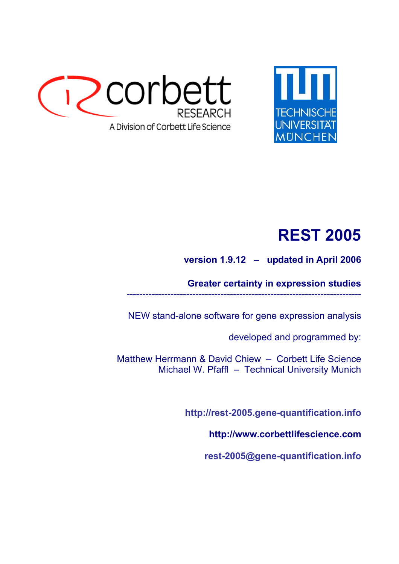



# **REST 2005**

## **version 1.9.12 – updated in April 2006**

**Greater certainty in expression studies** 

NEW stand-alone software for gene expression analysis

---------------------------------------------------------------------------

developed and programmed by:

Matthew Herrmann & David Chiew – Corbett Life Science Michael W. Pfaffl – Technical University Munich

**http://rest-2005.gene-quantification.info** 

**http://www.corbettlifescience.com** 

**rest-2005@gene-quantification.info**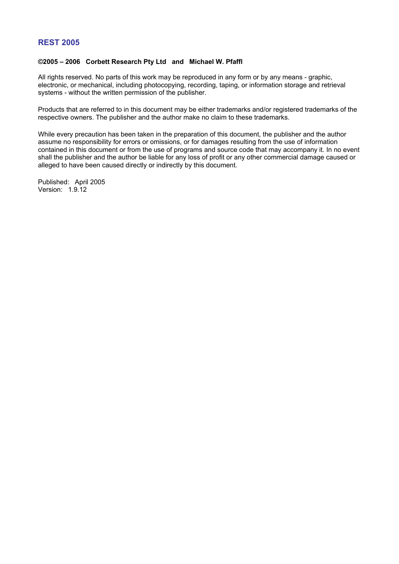#### **REST 2005**

#### **©2005 – 2006 Corbett Research Pty Ltd and Michael W. Pfaffl**

All rights reserved. No parts of this work may be reproduced in any form or by any means - graphic, electronic, or mechanical, including photocopying, recording, taping, or information storage and retrieval systems - without the written permission of the publisher.

Products that are referred to in this document may be either trademarks and/or registered trademarks of the respective owners. The publisher and the author make no claim to these trademarks.

While every precaution has been taken in the preparation of this document, the publisher and the author assume no responsibility for errors or omissions, or for damages resulting from the use of information contained in this document or from the use of programs and source code that may accompany it. In no event shall the publisher and the author be liable for any loss of profit or any other commercial damage caused or alleged to have been caused directly or indirectly by this document.

Published: April 2005 Version: 1.9.12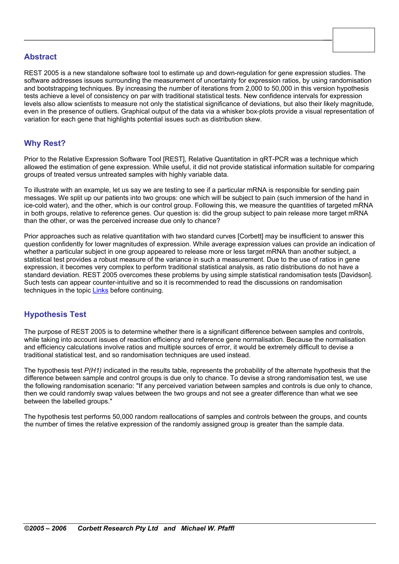#### **Abstract**

REST 2005 is a new standalone software tool to estimate up and down-regulation for gene expression studies. The software addresses issues surrounding the measurement of uncertainty for expression ratios, by using randomisation and bootstrapping techniques. By increasing the number of iterations from 2,000 to 50,000 in this version hypothesis tests achieve a level of consistency on par with traditional statistical tests. New confidence intervals for expression levels also allow scientists to measure not only the statistical significance of deviations, but also their likely magnitude, even in the presence of outliers. Graphical output of the data via a whisker box-plots provide a visual representation of variation for each gene that highlights potential issues such as distribution skew.

#### **Why Rest?**

Prior to the Relative Expression Software Tool [REST], Relative Quantitation in qRT-PCR was a technique which allowed the estimation of gene expression. While useful, it did not provide statistical information suitable for comparing groups of treated versus untreated samples with highly variable data.

To illustrate with an example, let us say we are testing to see if a particular mRNA is responsible for sending pain messages. We split up our patients into two groups: one which will be subject to pain (such immersion of the hand in ice-cold water), and the other, which is our control group. Following this, we measure the quantities of targeted mRNA in both groups, relative to reference genes. Our question is: did the group subject to pain release more target mRNA than the other, or was the perceived increase due only to chance?

Prior approaches such as relative quantitation with two standard curves [Corbett] may be insufficient to answer this question confidently for lower magnitudes of expression. While average expression values can provide an indication of whether a particular subject in one group appeared to release more or less target mRNA than another subject, a statistical test provides a robust measure of the variance in such a measurement. Due to the use of ratios in gene expression, it becomes very complex to perform traditional statistical analysis, as ratio distributions do not have a standard deviation. REST 2005 overcomes these problems by using simple statistical randomisation tests [Davidson]. Such tests can appear counter-intuitive and so it is recommended to read the discussions on randomisation techniques in the topic [Links](#page-10-0) before continuing.

### **Hypothesis Test**

The purpose of REST 2005 is to determine whether there is a significant difference between samples and controls, while taking into account issues of reaction efficiency and reference gene normalisation. Because the normalisation and efficiency calculations involve ratios and multiple sources of error, it would be extremely difficult to devise a traditional statistical test, and so randomisation techniques are used instead.

The hypothesis test *P(H1)* indicated in the results table, represents the probability of the alternate hypothesis that the difference between sample and control groups is due only to chance. To devise a strong randomisation test, we use the following randomisation scenario: "If any perceived variation between samples and controls is due only to chance, then we could randomly swap values between the two groups and not see a greater difference than what we see between the labelled groups."

The hypothesis test performs 50,000 random reallocations of samples and controls between the groups, and counts the number of times the relative expression of the randomly assigned group is greater than the sample data.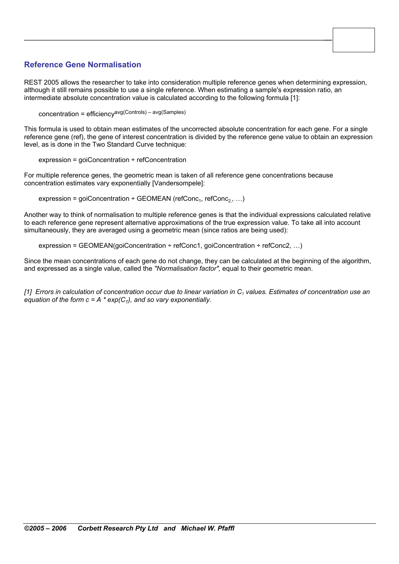## **Reference Gene Normalisation**

REST 2005 allows the researcher to take into consideration multiple reference genes when determining expression, although it still remains possible to use a single reference. When estimating a sample's expression ratio, an intermediate absolute concentration value is calculated according to the following formula [1]:

concentration = efficiencyavg(Controls) – avg(Samples)

This formula is used to obtain mean estimates of the uncorrected absolute concentration for each gene. For a single reference gene (ref), the gene of interest concentration is divided by the reference gene value to obtain an expression level, as is done in the Two Standard Curve technique:

expression = goiConcentration ÷ refConcentration

For multiple reference genes, the geometric mean is taken of all reference gene concentrations because concentration estimates vary exponentially [Vandersompele]:

expression = goiConcentration ÷ GEOMEAN (refConc<sub>1</sub>, refConc<sub>2</sub>, ...)

Another way to think of normalisation to multiple reference genes is that the individual expressions calculated relative to each reference gene represent alternative approximations of the true expression value. To take all into account simultaneously, they are averaged using a geometric mean (since ratios are being used):

expression = GEOMEAN(goiConcentration ÷ refConc1, goiConcentration ÷ refConc2, …)

Since the mean concentrations of each gene do not change, they can be calculated at the beginning of the algorithm, and expressed as a single value, called the *"Normalisation factor",* equal to their geometric mean.

 $[1]$  Errors in calculation of concentration occur due to linear variation in  $C<sub>r</sub>$  values. Estimates of concentration use an *equation of the form c = A \* exp(C<sub>T</sub>), and so vary exponentially.*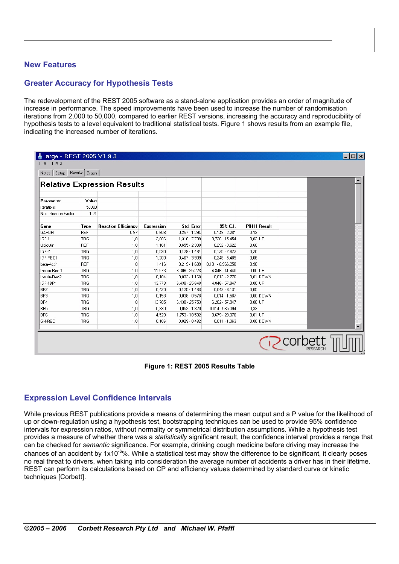## **New Features**

## **Greater Accuracy for Hypothesis Tests**

The redevelopment of the REST 2005 software as a stand-alone application provides an order of magnitude of increase in performance. The speed improvements have been used to increase the number of randomisation iterations from 2,000 to 50,000, compared to earlier REST versions, increasing the accuracy and reproducibility of hypothesis tests to a level equivalent to traditional statistical tests. Figure 1 shows results from an example file, indicating the increased number of iterations.

|                      |            | <b>Relative Expression Results</b> |                   |                   |                     |           |              |  |
|----------------------|------------|------------------------------------|-------------------|-------------------|---------------------|-----------|--------------|--|
| Parameter            | Value      |                                    |                   |                   |                     |           |              |  |
| Iterations           | 50000      |                                    |                   |                   |                     |           |              |  |
| Normalisation Factor | 1,21       |                                    |                   |                   |                     |           |              |  |
| Gene                 | Type       | <b>Reaction Efficiency</b>         | <b>Expression</b> | <b>Std. Error</b> | 95% C.I.            |           | P(H1) Result |  |
| <b>GAPDH</b>         | <b>REF</b> | 0,97                               | 0.608             | $0,257 - 1,294$   | $0,149 - 2,281$     | 0.12      |              |  |
| IGF-1                | <b>TRG</b> | 1,0                                | 2.686             | 1,316 - 7,709     | $0,726 - 15,454$    | 0,02 UP   |              |  |
| <b>Ubiqutin</b>      | REF        | 1,0                                | 1,161             | $0.655 - 2.398$   | $0,292 - 3,622$     | 0.66      |              |  |
| IGF-2                | TRG        | 1,0                                | 0,590             | $0.128 - 1.484$   | $0.125 - 2.822$     | 0.20      |              |  |
| IGF-REC1             | TRG        | 1.0                                | 1,200             | $0.467 - 3.909$   | $0.248 - 5.489$     | 0.66      |              |  |
| beta-Actin           | REF        | 1,0                                | 1,416             | $0,219 - 1,689$   | $0,101 - 6.966,258$ | 0,90      |              |  |
| Insulin-Rec-1        | TRG        | 1,0                                | 11,573            | $6,306 - 25,223$  | 4,846 - 41,440      | $0.00$ UP |              |  |
| Insulin-Rec2         | <b>TRG</b> | 1,0                                | 0,184             | $0,033 - 1,160$   | $0,013 - 2,776$     |           | 0.01 DOWN    |  |
| IGF-1BP1             | <b>TRG</b> | 1.0                                | 13,773            | $6,438 - 25,648$  | 4,846 - 57,947      | $0,00$ UP |              |  |
| BP <sub>2</sub>      | <b>TRG</b> | 1,0                                | 0.420             | $0,125 - 1,483$   | $0,043 - 3,131$     | 0.05      |              |  |
| BP3                  | <b>TRG</b> | 1,0                                | 0,153             | $0.038 - 0.578$   | $0.014 - 1.587$     |           | 0.00 DOWN    |  |
| BP4                  | <b>TRG</b> | 1,0                                | 13,705            | $6,438 - 25,753$  | $6,262 - 57,947$    | $0.00$ UP |              |  |
| BP <sub>5</sub>      | <b>TRG</b> | 1.0                                | 0,380             | $0.052 - 1.320$   | 0,014 - 565,394     | 0.32      |              |  |
| BP <sub>6</sub>      | <b>TRG</b> | 1.0                                | 4,528             | 1,753 - 10,532    | 0,679 - 29,378      | $0.01$ UP |              |  |
| GH-REC               | TRG        | 1,0                                | 0,106             | $0,029 - 0,482$   | $0,011 - 1,363$     |           | 0,00 DOWN    |  |

|  |  |  |  | Figure 1: REST 2005 Results Table |  |
|--|--|--|--|-----------------------------------|--|
|--|--|--|--|-----------------------------------|--|

## **Expression Level Confidence Intervals**

While previous REST publications provide a means of determining the mean output and a P value for the likelihood of up or down-regulation using a hypothesis test, bootstrapping techniques can be used to provide 95% confidence intervals for expression ratios, without normality or symmetrical distribution assumptions. While a hypothesis test provides a measure of whether there was a *statistically* significant result, the confidence interval provides a range that can be checked for *semantic* significance. For example, drinking cough medicine before driving may increase the chances of an accident by  $1x10^{-6}$ %. While a statistical test may show the difference to be significant, it clearly poses no real threat to drivers, when taking into consideration the average number of accidents a driver has in their lifetime. REST can perform its calculations based on CP and efficiency values determined by standard curve or kinetic techniques [Corbett].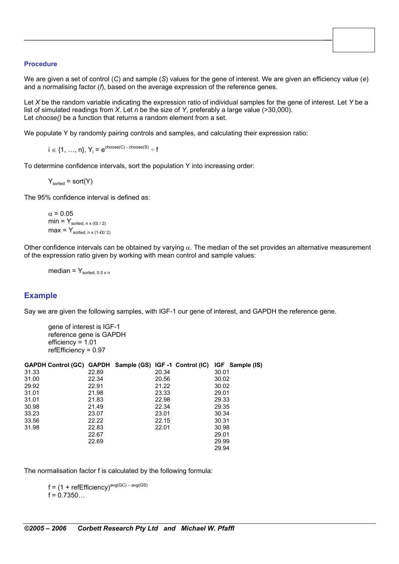#### **Procedure**

We are given a set of control (*C*) and sample (*S*) values for the gene of interest. We are given an efficiency value (*e*) and a normalising factor (*f*), based on the average expression of the reference genes.

Let *X* be the random variable indicating the expression ratio of individual samples for the gene of interest. Let *Y* be a list of simulated readings from *X*. Let *n* be the size of *Y*, preferably a large value (>30,000). Let *choose()* be a function that returns a random element from a set.

We populate Y by randomly pairing controls and samples, and calculating their expression ratio:

 $i \in \{1, ..., n\}, \ Y_i = e^{choose(C) - choose(S)} \div f$ 

To determine confidence intervals, sort the population Y into increasing order:

 $Y_{\text{sorted}} = \text{sort}(Y)$ 

The 95% confidence interval is defined as:

```
\alpha = 0.05
min = Y_{sorted, n x (Q / 2)}max = Y<sub>sorted, n x (1-Q/2)
```
Other confidence intervals can be obtained by varying  $\alpha$ . The median of the set provides an alternative measurement of the expression ratio given by working with mean control and sample values:

median =  $Y_{sorted, 0.5 x n}$ 

#### **Example**

Say we are given the following samples, with IGF-1 our gene of interest, and GAPDH the reference gene.

```
gene of interest is IGF-1 
reference gene is GAPDH 
efficiency = 1.01 
refEfficiency = 0.97
```

| GAPDH Control (GC) GAPDH Sample (GS) IGF -1 Control (IC) IGF Sample (IS) |       |       |       |  |
|--------------------------------------------------------------------------|-------|-------|-------|--|
| 31.33                                                                    | 22.89 | 20.34 | 30.01 |  |
| 31.00                                                                    | 22.34 | 20.56 | 30.02 |  |
| 29.92                                                                    | 22.91 | 21.22 | 30.02 |  |
| 31.01                                                                    | 21.98 | 23.33 | 29.01 |  |
| 31.01                                                                    | 21.83 | 22.98 | 29.33 |  |
| 30.98                                                                    | 21.49 | 22.34 | 29.35 |  |
| 33.23                                                                    | 23.07 | 23.01 | 30.34 |  |
| 33.56                                                                    | 22.22 | 22.15 | 30.31 |  |
| 31.98                                                                    | 22.83 | 22.01 | 30.98 |  |
|                                                                          | 22.67 |       | 29.01 |  |
|                                                                          | 22.69 |       | 29.99 |  |
|                                                                          |       |       | 29.94 |  |

The normalisation factor f is calculated by the following formula:

 $f = (1 + refEfficiency)^{avg(GC) - avg(GS)}$  $f = 0.7350...$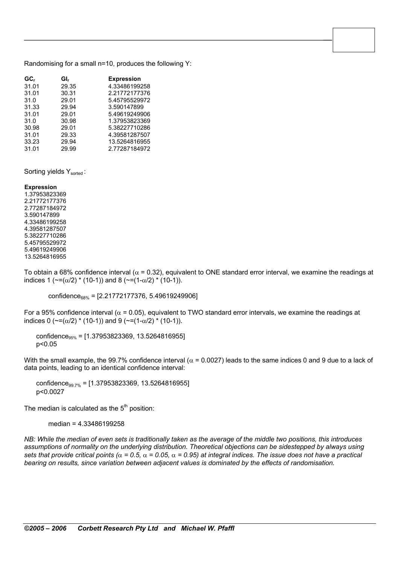Randomising for a small n=10, produces the following Y:

| GC.   | GI,   | <b>Expression</b> |
|-------|-------|-------------------|
| 31.01 | 29.35 | 4.33486199258     |
| 31.01 | 30.31 | 2.21772177376     |
| 31.0  | 29.01 | 5.45795529972     |
| 31.33 | 29.94 | 3.590147899       |
| 31.01 | 29.01 | 5.49619249906     |
| 31.0  | 30.98 | 1.37953823369     |
| 30.98 | 29.01 | 5.38227710286     |
| 31.01 | 29.33 | 4.39581287507     |
| 33.23 | 29.94 | 13.5264816955     |
| 31.01 | 29.99 | 2.77287184972     |

Sorting yields Y<sub>sorted</sub>:

#### **Expression**

1.37953823369 2.21772177376 2.77287184972 3.590147899 4.33486199258 4.39581287507 5.38227710286 5.45795529972 5.49619249906 13.5264816955

To obtain a 68% confidence interval ( $\alpha$  = 0.32), equivalent to ONE standard error interval, we examine the readings at indices 1 ( $\sim = (\alpha/2)$  \* (10-1)) and 8 ( $\sim = (1-\alpha/2)$  \* (10-1)).

confidence<sub>68%</sub> =  $[2.21772177376, 5.49619249906]$ 

For a 95% confidence interval ( $\alpha$  = 0.05), equivalent to TWO standard error intervals, we examine the readings at indices 0 ( $\sim = (\alpha/2)^* (10-1)$ ) and 9 ( $\sim = (1-\alpha/2)^* (10-1)$ ).

confidence<sub>95%</sub> = [1.37953823369, 13.5264816955] p<0.05

With the small example, the 99.7% confidence interval ( $\alpha$  = 0.0027) leads to the same indices 0 and 9 due to a lack of data points, leading to an identical confidence interval:

confidence<sub>99.7%</sub> = [1.37953823369, 13.5264816955] p<0.0027

The median is calculated as the  $5<sup>th</sup>$  position:

median = 4.33486199258

*NB: While the median of even sets is traditionally taken as the average of the middle two positions, this introduces assumptions of normality on the underlying distribution. Theoretical objections can be sidestepped by always using sets that provide critical points (*α *= 0.5,* α *= 0.05,* α *= 0.95) at integral indices. The issue does not have a practical bearing on results, since variation between adjacent values is dominated by the effects of randomisation.*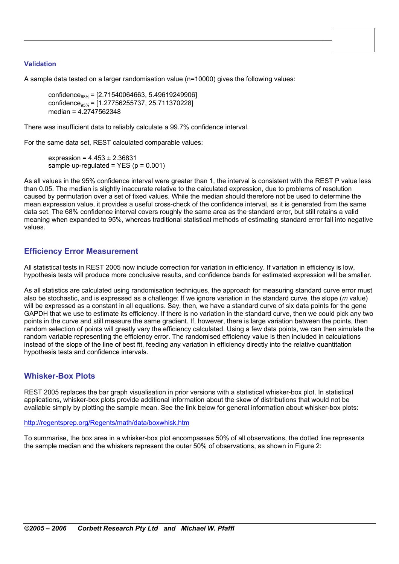#### **Validation**

A sample data tested on a larger randomisation value (n=10000) gives the following values:

confidence<sub>68%</sub> =  $[2.71540064663, 5.49619249906]$ confidence<sub>95%</sub> =  $[1.27756255737, 25.711370228]$ median = 4.2747562348

There was insufficient data to reliably calculate a 99.7% confidence interval.

For the same data set, REST calculated comparable values:

expression =  $4.453 \pm 2.36831$ sample up-requiated =  $YES (p = 0.001)$ 

As all values in the 95% confidence interval were greater than 1, the interval is consistent with the REST P value less than 0.05. The median is slightly inaccurate relative to the calculated expression, due to problems of resolution caused by permutation over a set of fixed values. While the median should therefore not be used to determine the mean expression value, it provides a useful cross-check of the confidence interval, as it is generated from the same data set. The 68% confidence interval covers roughly the same area as the standard error, but still retains a valid meaning when expanded to 95%, whereas traditional statistical methods of estimating standard error fall into negative values.

#### **Efficiency Error Measurement**

All statistical tests in REST 2005 now include correction for variation in efficiency. If variation in efficiency is low, hypothesis tests will produce more conclusive results, and confidence bands for estimated expression will be smaller.

As all statistics are calculated using randomisation techniques, the approach for measuring standard curve error must also be stochastic, and is expressed as a challenge: If we ignore variation in the standard curve, the slope (*m* value) will be expressed as a constant in all equations. Say, then, we have a standard curve of six data points for the gene GAPDH that we use to estimate its efficiency. If there is no variation in the standard curve, then we could pick any two points in the curve and still measure the same gradient. If, however, there is large variation between the points, then random selection of points will greatly vary the efficiency calculated. Using a few data points, we can then simulate the random variable representing the efficiency error. The randomised efficiency value is then included in calculations instead of the slope of the line of best fit, feeding any variation in efficiency directly into the relative quantitation hypothesis tests and confidence intervals.

#### **Whisker-Box Plots**

REST 2005 replaces the bar graph visualisation in prior versions with a statistical whisker-box plot. In statistical applications, whisker-box plots provide additional information about the skew of distributions that would not be available simply by plotting the sample mean. See the link below for general information about whisker-box plots:

<http://regentsprep.org/Regents/math/data/boxwhisk.htm>

To summarise, the box area in a whisker-box plot encompasses 50% of all observations, the dotted line represents the sample median and the whiskers represent the outer 50% of observations, as shown in Figure 2: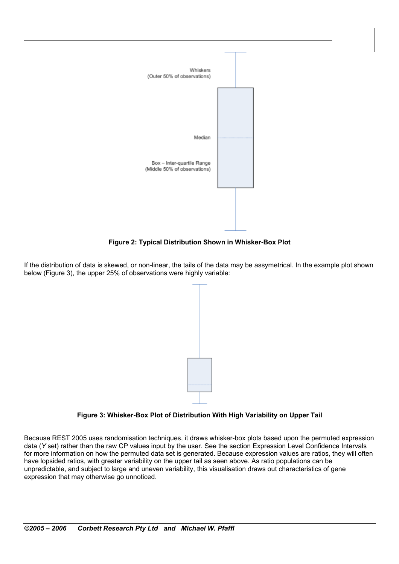

**Figure 2: Typical Distribution Shown in Whisker-Box Plot**

If the distribution of data is skewed, or non-linear, the tails of the data may be assymetrical. In the example plot shown below (Figure 3), the upper 25% of observations were highly variable:





Because REST 2005 uses randomisation techniques, it draws whisker-box plots based upon the permuted expression data (*Y* set) rather than the raw CP values input by the user. See the section Expression Level Confidence Intervals for more information on how the permuted data set is generated. Because expression values are ratios, they will often have lopsided ratios, with greater variability on the upper tail as seen above. As ratio populations can be unpredictable, and subject to large and uneven variability, this visualisation draws out characteristics of gene expression that may otherwise go unnoticed.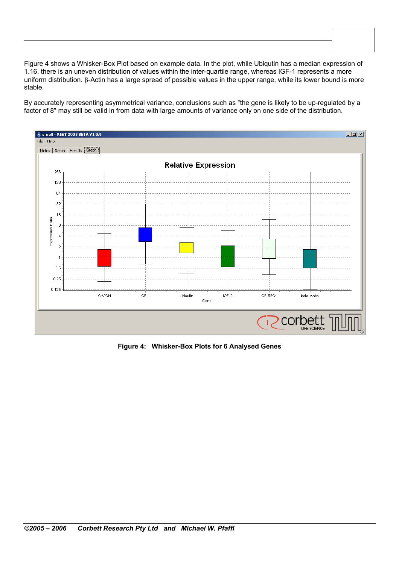Figure 4 shows a Whisker-Box Plot based on example data. In the plot, while Ubiqutin has a median expression of 1.16, there is an uneven distribution of values within the inter-quartile range, whereas IGF-1 represents a more uniform distribution. β-Actin has a large spread of possible values in the upper range, while its lower bound is more stable.

By accurately representing asymmetrical variance, conclusions such as "the gene is likely to be up-regulated by a factor of 8" may still be valid in from data with large amounts of variance only on one side of the distribution.



**Figure 4: Whisker-Box Plots for 6 Analysed Genes**